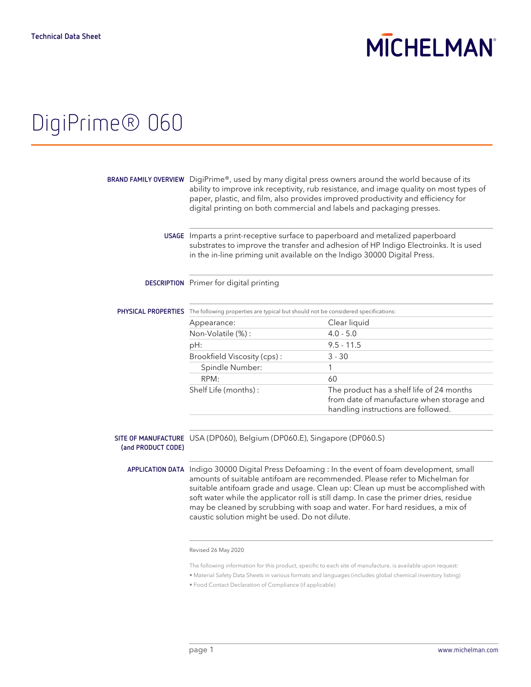## **MICHELMAN**

## DigiPrime® 060

|                                                                                                                                                                                                                                                                                                                                                                                                                                                                                              | BRAND FAMILY OVERVIEW DigiPrime®, used by many digital press owners around the world because of its<br>ability to improve ink receptivity, rub resistance, and image quality on most types of<br>paper, plastic, and film, also provides improved productivity and efficiency for<br>digital printing on both commercial and labels and packaging presses. |  |
|----------------------------------------------------------------------------------------------------------------------------------------------------------------------------------------------------------------------------------------------------------------------------------------------------------------------------------------------------------------------------------------------------------------------------------------------------------------------------------------------|------------------------------------------------------------------------------------------------------------------------------------------------------------------------------------------------------------------------------------------------------------------------------------------------------------------------------------------------------------|--|
| USAGE Imparts a print-receptive surface to paperboard and metalized paperboard<br>substrates to improve the transfer and adhesion of HP Indigo Electroinks. It is used<br>in the in-line priming unit available on the Indigo 30000 Digital Press.                                                                                                                                                                                                                                           |                                                                                                                                                                                                                                                                                                                                                            |  |
| DESCRIPTION Primer for digital printing                                                                                                                                                                                                                                                                                                                                                                                                                                                      |                                                                                                                                                                                                                                                                                                                                                            |  |
|                                                                                                                                                                                                                                                                                                                                                                                                                                                                                              |                                                                                                                                                                                                                                                                                                                                                            |  |
|                                                                                                                                                                                                                                                                                                                                                                                                                                                                                              | Clear liquid                                                                                                                                                                                                                                                                                                                                               |  |
| Non-Volatile (%):                                                                                                                                                                                                                                                                                                                                                                                                                                                                            | $4.0 - 5.0$                                                                                                                                                                                                                                                                                                                                                |  |
| pH:                                                                                                                                                                                                                                                                                                                                                                                                                                                                                          | $9.5 - 11.5$                                                                                                                                                                                                                                                                                                                                               |  |
| Brookfield Viscosity (cps):                                                                                                                                                                                                                                                                                                                                                                                                                                                                  | $3 - 30$                                                                                                                                                                                                                                                                                                                                                   |  |
| Spindle Number:                                                                                                                                                                                                                                                                                                                                                                                                                                                                              | 1                                                                                                                                                                                                                                                                                                                                                          |  |
| RPM:                                                                                                                                                                                                                                                                                                                                                                                                                                                                                         | 60                                                                                                                                                                                                                                                                                                                                                         |  |
| Shelf Life (months):                                                                                                                                                                                                                                                                                                                                                                                                                                                                         | The product has a shelf life of 24 months<br>from date of manufacture when storage and<br>handling instructions are followed.                                                                                                                                                                                                                              |  |
|                                                                                                                                                                                                                                                                                                                                                                                                                                                                                              |                                                                                                                                                                                                                                                                                                                                                            |  |
| SITE OF MANUFACTURE USA (DP060), Belgium (DP060.E), Singapore (DP060.S)                                                                                                                                                                                                                                                                                                                                                                                                                      |                                                                                                                                                                                                                                                                                                                                                            |  |
| APPLICATION DATA Indigo 30000 Digital Press Defoaming : In the event of foam development, small<br>amounts of suitable antifoam are recommended. Please refer to Michelman for<br>suitable antifoam grade and usage. Clean up: Clean up must be accomplished with<br>soft water while the applicator roll is still damp. In case the primer dries, residue<br>may be cleaned by scrubbing with soap and water. For hard residues, a mix of<br>caustic solution might be used. Do not dilute. |                                                                                                                                                                                                                                                                                                                                                            |  |
|                                                                                                                                                                                                                                                                                                                                                                                                                                                                                              | PHYSICAL PROPERTIES The following properties are typical but should not be considered specifications:<br>Appearance:                                                                                                                                                                                                                                       |  |

Revised 26 May 2020

The following information for this product, specific to each site of manufacture, is available upon request:

• Material Safety Data Sheets in various formats and languages (includes global chemical inventory listing)

• Food Contact Declaration of Compliance (if applicable)